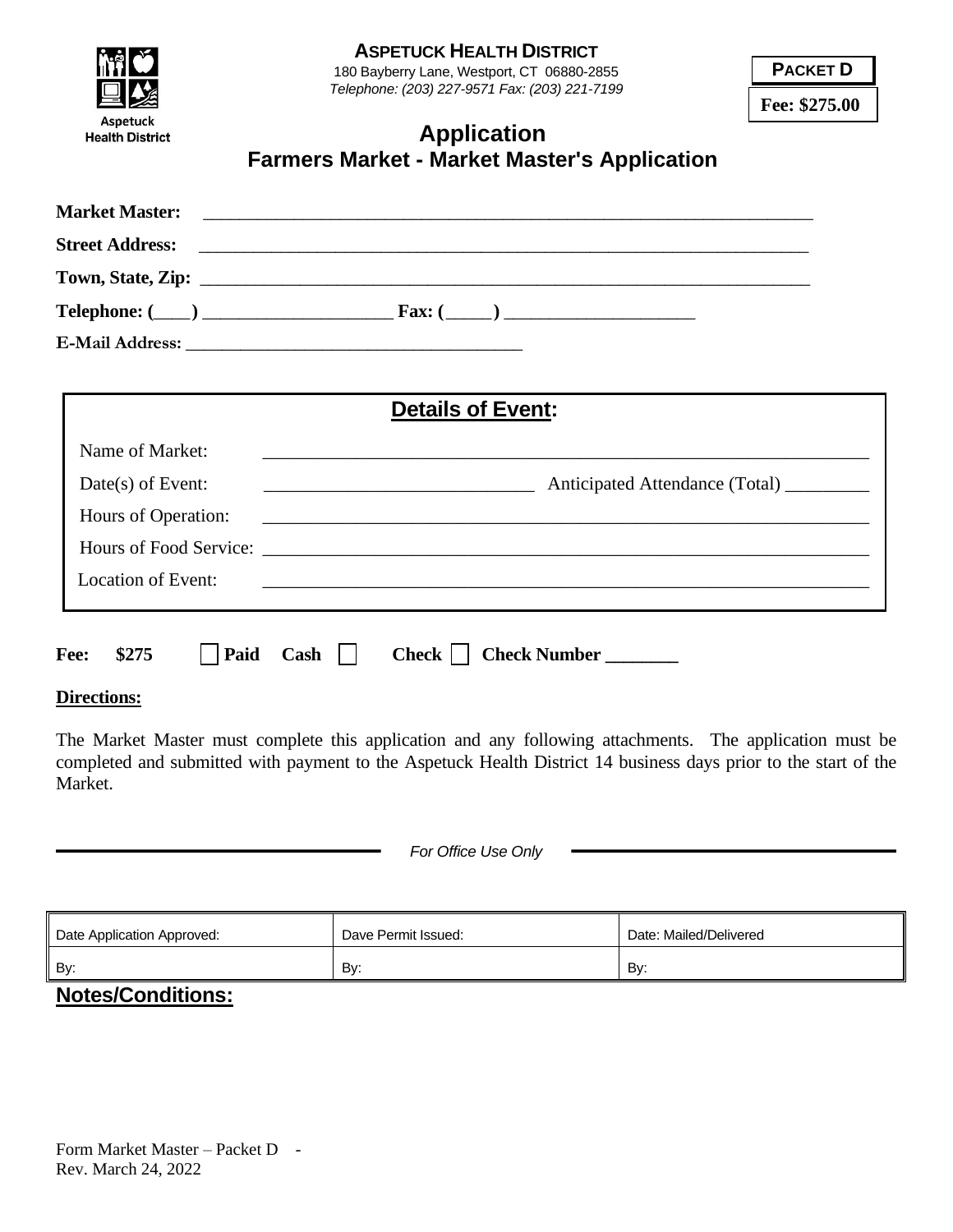|                                                 |                                          | <b>ASPETUCK HEALTH DISTRICT</b>                                                             | <b>PACKET D</b> |
|-------------------------------------------------|------------------------------------------|---------------------------------------------------------------------------------------------|-----------------|
|                                                 |                                          | 180 Bayberry Lane, Westport, CT 06880-2855<br>Telephone: (203) 227-9571 Fax: (203) 221-7199 | Fee: \$275.00   |
| <b>Aspetuck</b><br><b>Health District</b>       |                                          | <b>Application</b><br><b>Farmers Market - Market Master's Application</b>                   |                 |
| <b>Market Master:</b><br><b>Street Address:</b> |                                          |                                                                                             |                 |
|                                                 |                                          |                                                                                             |                 |
|                                                 |                                          |                                                                                             |                 |
|                                                 |                                          | <b>Details of Event:</b>                                                                    |                 |
| Name of Market:                                 |                                          | <u> 1989 - Johann Stoff, amerikansk politiker (d. 1989)</u>                                 |                 |
| $Date(s)$ of Event:                             |                                          |                                                                                             |                 |
| Hours of Operation:                             |                                          |                                                                                             |                 |
|                                                 |                                          |                                                                                             |                 |
| <b>Location of Event:</b>                       |                                          | ,我们也不能在这里的时候,我们也不能在这里的时候,我们也不能会在这里的时候,我们也不能会在这里的时候,我们也不能会在这里的时候,我们也不能会在这里的时候,我们也            |                 |
| Fee:<br>\$275<br>Paid                           | $Cash \mid \mid$<br>$Check \mid \; \;  $ | <b>Check Number</b>                                                                         |                 |

## **Directions:**

The Market Master must complete this application and any following attachments. The application must be completed and submitted with payment to the Aspetuck Health District 14 business days prior to the start of the Market.

| For Office Use Only |  |  |  |  |
|---------------------|--|--|--|--|
|---------------------|--|--|--|--|

| Date Application Approved: | Dave Permit Issued: | Date: Mailed/Delivered |
|----------------------------|---------------------|------------------------|
| By:                        | By:                 | By:                    |

## **Notes/Conditions:**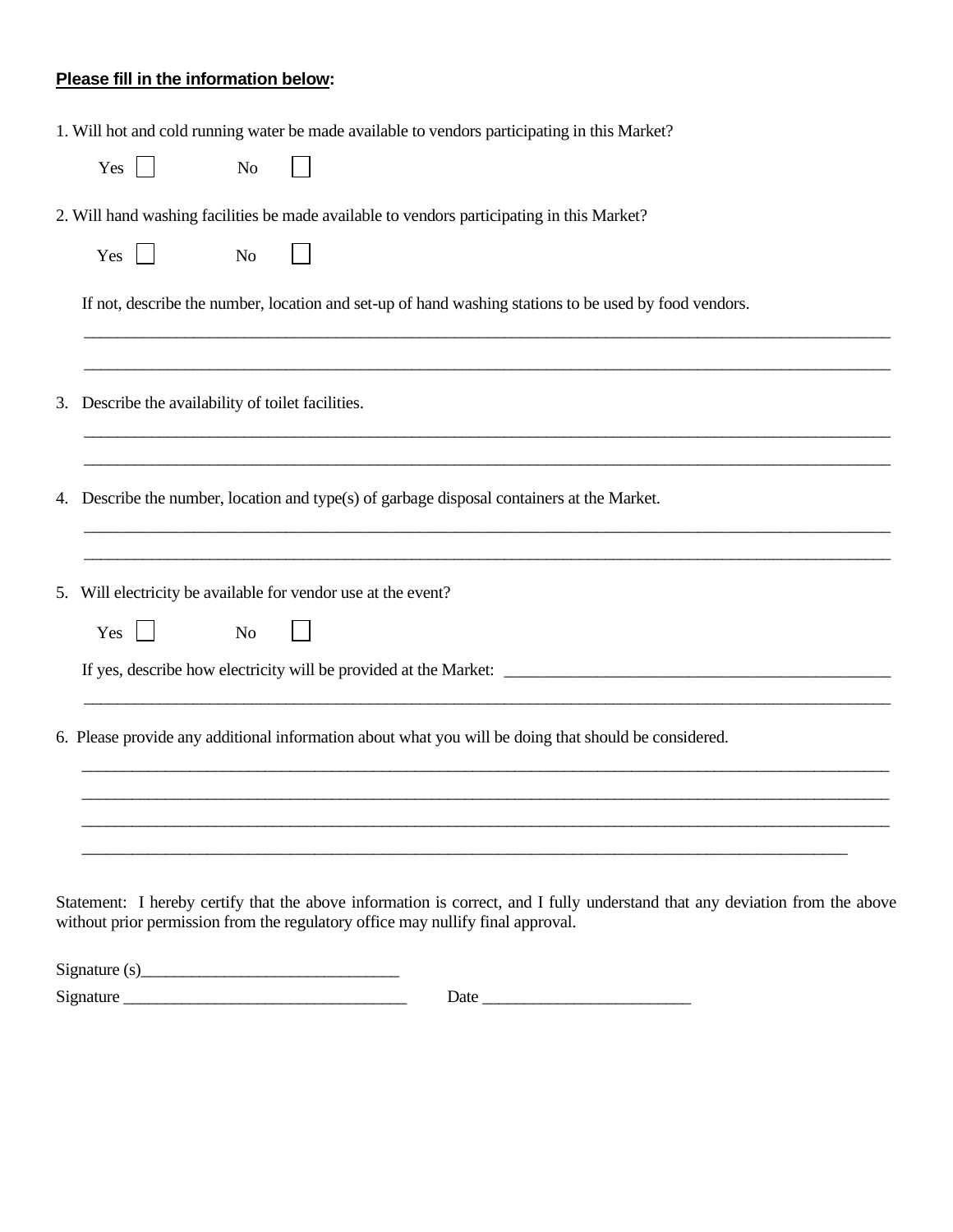## **Please fill in the information below:**

|    | 1. Will hot and cold running water be made available to vendors participating in this Market?                                                                                                                  |
|----|----------------------------------------------------------------------------------------------------------------------------------------------------------------------------------------------------------------|
|    | Yes<br>$\mathbf{L}$<br><b>No</b>                                                                                                                                                                               |
|    | 2. Will hand washing facilities be made available to vendors participating in this Market?                                                                                                                     |
|    | $\vert \ \ \vert$<br>Yes<br>N <sub>o</sub>                                                                                                                                                                     |
|    | If not, describe the number, location and set-up of hand washing stations to be used by food vendors.                                                                                                          |
|    | 3. Describe the availability of toilet facilities.                                                                                                                                                             |
| 4. | Describe the number, location and type(s) of garbage disposal containers at the Market.                                                                                                                        |
|    | 5. Will electricity be available for vendor use at the event?                                                                                                                                                  |
|    | Yes<br>$\perp$<br><b>No</b>                                                                                                                                                                                    |
|    |                                                                                                                                                                                                                |
|    | 6. Please provide any additional information about what you will be doing that should be considered.                                                                                                           |
|    |                                                                                                                                                                                                                |
|    |                                                                                                                                                                                                                |
|    | Statement: I hereby certify that the above information is correct, and I fully understand that any deviation from the above<br>without prior permission from the regulatory office may nullify final approval. |

 $Signature(s)$ 

Signature \_\_\_\_\_\_\_\_\_\_\_\_\_\_\_\_\_\_\_\_\_\_\_\_\_\_\_\_\_\_\_\_\_\_ Date \_\_\_\_\_\_\_\_\_\_\_\_\_\_\_\_\_\_\_\_\_\_\_\_\_